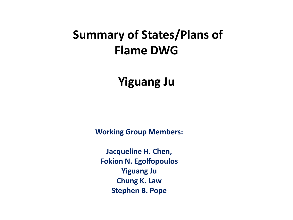### **Summary of States/Plans of Flame DWG**

**Yiguang Ju**

**Working Group Members:**

**Jacqueline H. Chen, Fokion N. Egolfopoulos Yiguang Ju Chung K. Law Stephen B. Pope**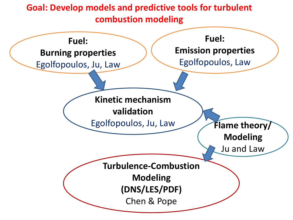

Ju and Law

**Turbulence-Combustion** 

**Modeling (DNS/LES/PDF)**

Chen & Pope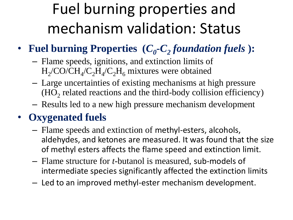## Fuel burning properties and mechanism validation: Status

### • Fuel burning Properties  $(C_0$ - $C_2$  foundation fuels  $)$ :

- Flame speeds, ignitions, and extinction limits of  $H_2$ /CO/C $H_4$ /C<sub>2</sub> $H_4$ /C<sub>2</sub>H<sub>6</sub> mixtures were obtained
- Large uncertainties of existing mechanisms at high pressure  $(HO<sub>2</sub>$  related reactions and the third-body collision efficiency)
- Results led to a new high pressure mechanism development

### • **Oxygenated fuels**

- Flame speeds and extinction of methyl-esters, alcohols, aldehydes, and ketones are measured. It was found that the size of methyl esters affects the flame speed and extinction limit.
- Flame structure for *t-*butanol is measured, sub-models of intermediate species significantly affected the extinction limits
- Led to an improved methyl-ester mechanism development.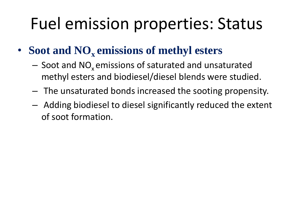## Fuel emission properties: Status

- **Soot and NO<sup>x</sup> emissions of methyl esters**
	- $-$  Soot and NO<sub>x</sub> emissions of saturated and unsaturated methyl esters and biodiesel/diesel blends were studied.
	- The unsaturated bonds increased the sooting propensity.
	- Adding biodiesel to diesel significantly reduced the extent of soot formation.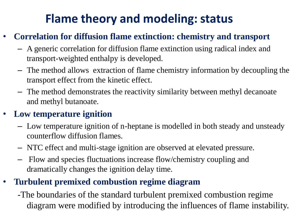## **Flame theory and modeling: status**

### • **Correlation for diffusion flame extinction: chemistry and transport**

- A generic correlation for diffusion flame extinction using radical index and transport-weighted enthalpy is developed.
- The method allows extraction of flame chemistry information by decoupling the transport effect from the kinetic effect.
- The method demonstrates the reactivity similarity between methyl decanoate and methyl butanoate.

### • **Low temperature ignition**

- Low temperature ignition of n-heptane is modelled in both steady and unsteady counterflow diffusion flames.
- NTC effect and multi-stage ignition are observed at elevated pressure.
- Flow and species fluctuations increase flow/chemistry coupling and dramatically changes the ignition delay time.

### • **Turbulent premixed combustion regime diagram**

-The boundaries of the standard turbulent premixed combustion regime diagram were modified by introducing the influences of flame instability.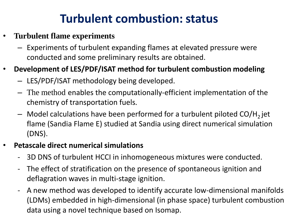## **Turbulent combustion: status**

#### • **Turbulent flame experiments**

– Experiments of turbulent expanding flames at elevated pressure were conducted and some preliminary results are obtained.

#### • **Development of LES/PDF/ISAT method for turbulent combustion modeling**

- LES/PDF/ISAT methodology being developed.
- The method enables the computationally-efficient implementation of the chemistry of transportation fuels.
- $-$  Model calculations have been performed for a turbulent piloted CO/H<sub>2</sub> jet flame (Sandia Flame E) studied at Sandia using direct numerical simulation (DNS).

#### • **Petascale direct numerical simulations**

- 3D DNS of turbulent HCCI in inhomogeneous mixtures were conducted.
- The effect of stratification on the presence of spontaneous ignition and deflagration waves in multi-stage ignition.
- A new method was developed to identify accurate low-dimensional manifolds (LDMs) embedded in high-dimensional (in phase space) turbulent combustion data using a novel technique based on Isomap.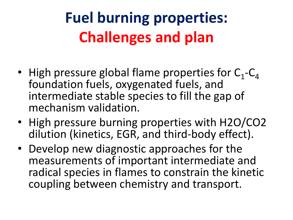# **Fuel burning properties: Challenges and plan**

- High pressure global flame properties for  $C_1$ - $C_4$ foundation fuels, oxygenated fuels, and intermediate stable species to fill the gap of mechanism validation.
- High pressure burning properties with H2O/CO2 dilution (kinetics, EGR, and third-body effect).
- Develop new diagnostic approaches for the measurements of important intermediate and radical species in flames to constrain the kinetic coupling between chemistry and transport.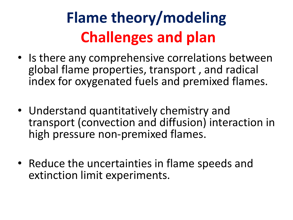# **Flame theory/modeling Challenges and plan**

- Is there any comprehensive correlations between global flame properties, transport , and radical index for oxygenated fuels and premixed flames.
- Understand quantitatively chemistry and transport (convection and diffusion) interaction in high pressure non-premixed flames.
- Reduce the uncertainties in flame speeds and extinction limit experiments.